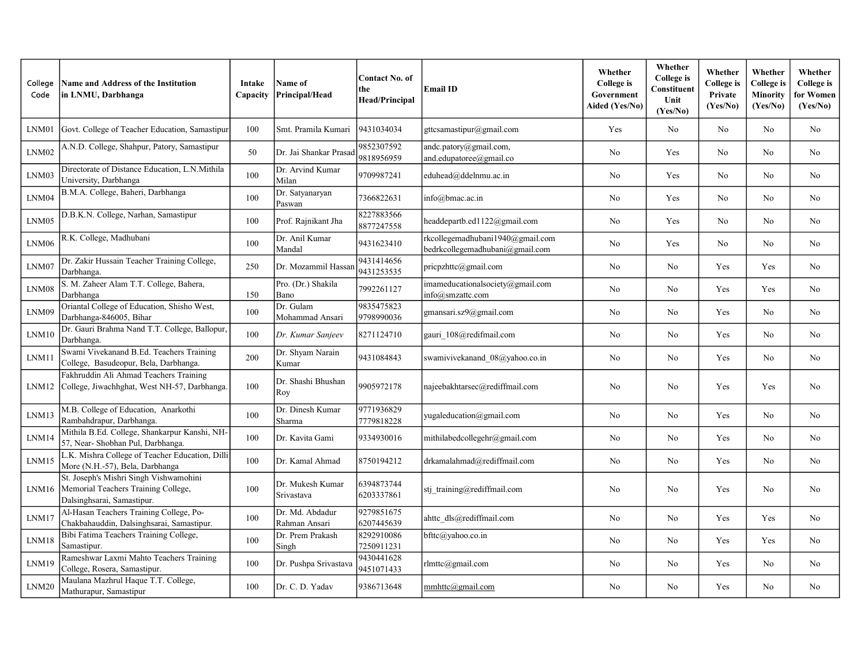| College<br>Code | <b>Name and Address of the Institution</b><br>in LNMU, Darbhanga                                            | Intake<br>Capacity | <b>Name of</b><br>Principal/Head | <b>Contact No. of</b><br>the<br><b>Head/Principal</b> | <b>Email ID</b>                                                     | Whether<br>College is<br>Government<br>Aided (Yes/No) | Whether<br><b>College</b> is<br>Constituent<br>Unit<br>(Yes/No) | Whether<br>College is<br>Private<br>(Yes/No) | Whether<br><b>College</b> is<br><b>Minority</b><br>(Yes/No) | Whether<br>College is<br>for Women<br>(Yes/No) |
|-----------------|-------------------------------------------------------------------------------------------------------------|--------------------|----------------------------------|-------------------------------------------------------|---------------------------------------------------------------------|-------------------------------------------------------|-----------------------------------------------------------------|----------------------------------------------|-------------------------------------------------------------|------------------------------------------------|
| LNM01           | Govt. College of Teacher Education, Samastipur                                                              | 100                | Smt. Pramila Kumari              | 9431034034                                            | gttcsamastipur@gmail.com                                            | Yes                                                   | No                                                              | No                                           | No                                                          | No                                             |
| LNM02           | A.N.D. College, Shahpur, Patory, Samastipur                                                                 | 50                 | Dr. Jai Shankar Prasad           | 9852307592<br>9818956959                              | andc.patory@gmail.com,<br>and.edupatoree@gmail.co                   | N <sub>o</sub>                                        | Yes                                                             | No                                           | No                                                          | No                                             |
| LNM03           | Directorate of Distance Education, L.N.Mithila<br>University, Darbhanga                                     | 100                | Dr. Arvind Kumar<br>Milan        | 9709987241                                            | eduhead@ddelnmu.ac.in                                               | No                                                    | Yes                                                             | No                                           | No                                                          | No                                             |
| LNM04           | B.M.A. College, Baheri, Darbhanga                                                                           | 100                | Dr. Satyanaryan<br>Paswan        | 7366822631                                            | info@bmac.ac.in                                                     | No                                                    | Yes                                                             | No.                                          | No                                                          | N <sub>o</sub>                                 |
| LNM05           | D.B.K.N. College, Narhan, Samastipur                                                                        | 100                | Prof. Rajnikant Jha              | 8227883566<br>8877247558                              | headdepartb.ed1122@gmail.com                                        | No                                                    | Yes                                                             | No                                           | No                                                          | No                                             |
| LNM06           | R.K. College, Madhubani                                                                                     | 100                | Dr. Anil Kumar<br>Mandal         | 9431623410                                            | rkcollegemadhubani1940@gmail.com<br>bedrkcollegemadhubani@gmail.com | No                                                    | Yes                                                             | No                                           | No                                                          | No                                             |
| LNM07           | Dr. Zakir Hussain Teacher Training College,<br>Darbhanga.                                                   | 250                | Dr. Mozammil Hassar              | 9431414656<br>9431253535                              | $priorpathtc(\partial gmail.com)$                                   | No                                                    | No                                                              | Yes                                          | Yes                                                         | No                                             |
| LNM08           | S. M. Zaheer Alam T.T. College, Bahera,<br>Darbhanga                                                        | 150                | Pro. (Dr.) Shakila<br>Bano       | 7992261127                                            | imameducationalsociety@gmail.com<br>info@smzattc.com                | N <sub>o</sub>                                        | N <sub>o</sub>                                                  | Yes                                          | Yes                                                         | No                                             |
| LNM09           | Oriantal College of Education, Shisho West,<br>Darbhanga-846005, Bihar                                      | 100                | Dr. Gulam<br>Mohammad Ansari     | 9835475823<br>9798990036                              | gmansari.sz9@gmail.com                                              | No                                                    | No                                                              | Yes                                          | No                                                          | No                                             |
| LNM10           | Dr. Gauri Brahma Nand T.T. College, Ballopur,<br>Darbhanga.                                                 | 100                | Dr. Kumar Sanjeev                | 8271124710                                            | gauri_108@redifmail.com                                             | No                                                    | No                                                              | Yes                                          | No                                                          | N <sub>o</sub>                                 |
| LNM11           | Swami Vivekanand B.Ed. Teachers Training<br>College, Basudeopur, Bela, Darbhanga.                           | 200                | Dr. Shyam Narain<br>Kumar        | 9431084843                                            | swamivivekanand 08@yahoo.co.in                                      | No                                                    | No                                                              | Yes                                          | No                                                          | No                                             |
| LNM12           | Fakhruddin Ali Ahmad Teachers Training<br>College, Jiwachhghat, West NH-57, Darbhanga.                      | 100                | Dr. Shashi Bhushan<br>Roy        | 9905972178                                            | najeebakhtarsec@rediffmail.com                                      | No                                                    | N <sub>o</sub>                                                  | Yes                                          | Yes                                                         | No                                             |
| LNM13           | M.B. College of Education, Anarkothi<br>Rambahdrapur, Darbhanga.                                            | 100                | Dr. Dinesh Kumar<br>Sharma       | 9771936829<br>7779818228                              | yugaleducation@gmail.com                                            | No                                                    | No                                                              | Yes                                          | No                                                          | No                                             |
| LNM14           | Mithila B.Ed. College, Shankarpur Kanshi, NH-<br>57, Near- Shobhan Pul, Darbhanga.                          | 100                | Dr. Kavita Gami                  | 9334930016                                            | mithilabedcollegehr@gmail.com                                       | No                                                    | No                                                              | Yes                                          | No                                                          | No                                             |
| LNM15           | L.K. Mishra College of Teacher Education, Dilli<br>More (N.H.-57), Bela, Darbhanga                          | 100                | Dr. Kamal Ahmad                  | 8750194212                                            | drkamalahmad@rediffmail.com                                         | N <sub>o</sub>                                        | N <sub>o</sub>                                                  | Yes                                          | N <sub>o</sub>                                              | N <sub>o</sub>                                 |
| LNM16           | St. Joseph's Mishri Singh Vishwamohini<br>Memorial Teachers Training College,<br>Dalsinghsarai, Samastipur. | 100                | Dr. Mukesh Kumar<br>Srivastava   | 6394873744<br>6203337861                              | stj training@rediffmail.com                                         | No                                                    | No                                                              | Yes                                          | N <sub>o</sub>                                              | N <sub>o</sub>                                 |
| LNM17           | Al-Hasan Teachers Training College, Po-<br>Chakbahauddin, Dalsinghsarai, Samastipur.                        | 100                | Dr. Md. Abdadur<br>Rahman Ansari | 9279851675<br>6207445639                              | ahttc dls@rediffmail.com                                            | No                                                    | No                                                              | Yes                                          | Yes                                                         | No                                             |
| LNM18           | Bibi Fatima Teachers Training College,<br>Samastipur.                                                       | 100                | Dr. Prem Prakash<br>Singh        | 8292910086<br>7250911231                              | bfttc@yahoo.co.in                                                   | N <sub>o</sub>                                        | N <sub>o</sub>                                                  | Yes                                          | Yes                                                         | N <sub>o</sub>                                 |
| LNM19           | Rameshwar Laxmi Mahto Teachers Training<br>College, Rosera, Samastipur.                                     | 100                | Dr. Pushpa Srivastava            | 9430441628<br>9451071433                              | rlmttc@gmail.com                                                    | No                                                    | No                                                              | Yes                                          | No                                                          | No                                             |
| LNM20           | Maulana Mazhrul Haque T.T. College,<br>Mathurapur, Samastipur                                               | 100                | Dr. C. D. Yadav                  | 9386713648                                            | mmhttc@gmail.com                                                    | No                                                    | N <sub>o</sub>                                                  | Yes                                          | No                                                          | N <sub>o</sub>                                 |